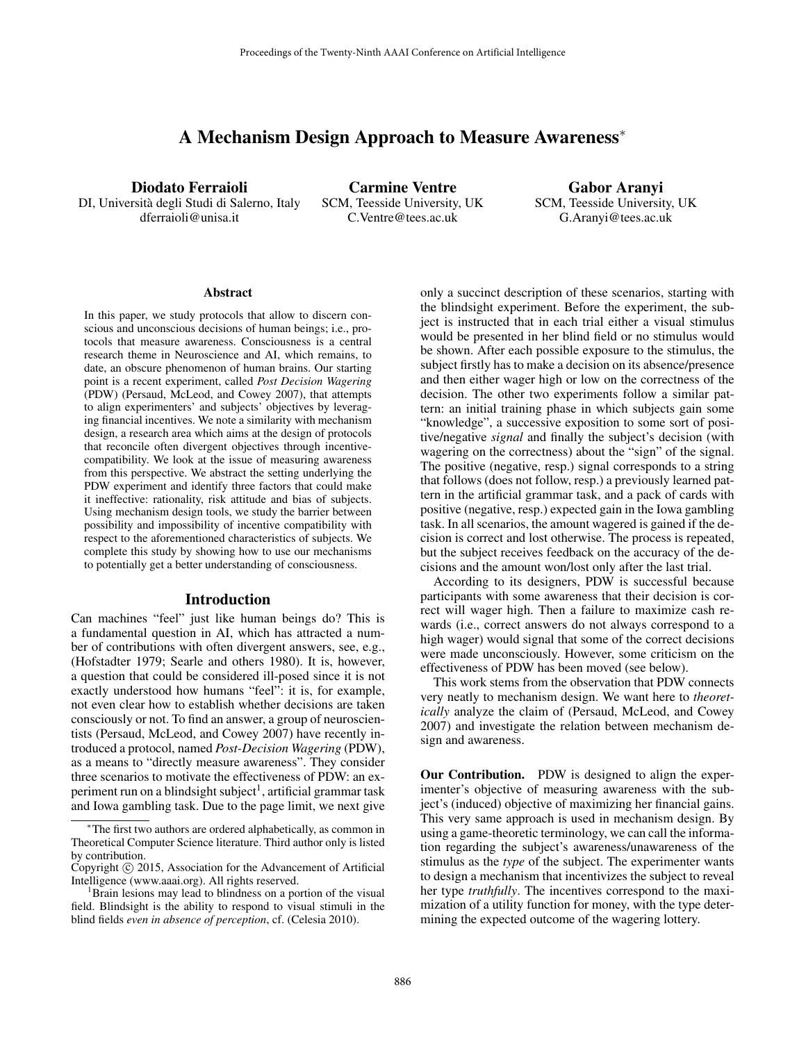# A Mechanism Design Approach to Measure Awareness<sup>∗</sup>

Diodato Ferraioli DI, Universita degli Studi di Salerno, Italy ` dferraioli@unisa.it

Carmine Ventre SCM, Teesside University, UK C.Ventre@tees.ac.uk

Gabor Aranyi SCM, Teesside University, UK G.Aranyi@tees.ac.uk

#### **Abstract**

In this paper, we study protocols that allow to discern conscious and unconscious decisions of human beings; i.e., protocols that measure awareness. Consciousness is a central research theme in Neuroscience and AI, which remains, to date, an obscure phenomenon of human brains. Our starting point is a recent experiment, called *Post Decision Wagering* (PDW) (Persaud, McLeod, and Cowey 2007), that attempts to align experimenters' and subjects' objectives by leveraging financial incentives. We note a similarity with mechanism design, a research area which aims at the design of protocols that reconcile often divergent objectives through incentivecompatibility. We look at the issue of measuring awareness from this perspective. We abstract the setting underlying the PDW experiment and identify three factors that could make it ineffective: rationality, risk attitude and bias of subjects. Using mechanism design tools, we study the barrier between possibility and impossibility of incentive compatibility with respect to the aforementioned characteristics of subjects. We complete this study by showing how to use our mechanisms to potentially get a better understanding of consciousness.

#### Introduction

Can machines "feel" just like human beings do? This is a fundamental question in AI, which has attracted a number of contributions with often divergent answers, see, e.g., (Hofstadter 1979; Searle and others 1980). It is, however, a question that could be considered ill-posed since it is not exactly understood how humans "feel": it is, for example, not even clear how to establish whether decisions are taken consciously or not. To find an answer, a group of neuroscientists (Persaud, McLeod, and Cowey 2007) have recently introduced a protocol, named *Post-Decision Wagering* (PDW), as a means to "directly measure awareness". They consider three scenarios to motivate the effectiveness of PDW: an experiment run on a blindsight subject<sup>1</sup>, artificial grammar task and Iowa gambling task. Due to the page limit, we next give only a succinct description of these scenarios, starting with the blindsight experiment. Before the experiment, the subject is instructed that in each trial either a visual stimulus would be presented in her blind field or no stimulus would be shown. After each possible exposure to the stimulus, the subject firstly has to make a decision on its absence/presence and then either wager high or low on the correctness of the decision. The other two experiments follow a similar pattern: an initial training phase in which subjects gain some "knowledge", a successive exposition to some sort of positive/negative *signal* and finally the subject's decision (with wagering on the correctness) about the "sign" of the signal. The positive (negative, resp.) signal corresponds to a string that follows (does not follow, resp.) a previously learned pattern in the artificial grammar task, and a pack of cards with positive (negative, resp.) expected gain in the Iowa gambling task. In all scenarios, the amount wagered is gained if the decision is correct and lost otherwise. The process is repeated, but the subject receives feedback on the accuracy of the decisions and the amount won/lost only after the last trial.

According to its designers, PDW is successful because participants with some awareness that their decision is correct will wager high. Then a failure to maximize cash rewards (i.e., correct answers do not always correspond to a high wager) would signal that some of the correct decisions were made unconsciously. However, some criticism on the effectiveness of PDW has been moved (see below).

This work stems from the observation that PDW connects very neatly to mechanism design. We want here to *theoretically* analyze the claim of (Persaud, McLeod, and Cowey 2007) and investigate the relation between mechanism design and awareness.

Our Contribution. PDW is designed to align the experimenter's objective of measuring awareness with the subject's (induced) objective of maximizing her financial gains. This very same approach is used in mechanism design. By using a game-theoretic terminology, we can call the information regarding the subject's awareness/unawareness of the stimulus as the *type* of the subject. The experimenter wants to design a mechanism that incentivizes the subject to reveal her type *truthfully*. The incentives correspond to the maximization of a utility function for money, with the type determining the expected outcome of the wagering lottery.

<sup>∗</sup>The first two authors are ordered alphabetically, as common in Theoretical Computer Science literature. Third author only is listed by contribution.

Copyright © 2015, Association for the Advancement of Artificial Intelligence (www.aaai.org). All rights reserved.

<sup>&</sup>lt;sup>1</sup>Brain lesions may lead to blindness on a portion of the visual field. Blindsight is the ability to respond to visual stimuli in the blind fields *even in absence of perception*, cf. (Celesia 2010).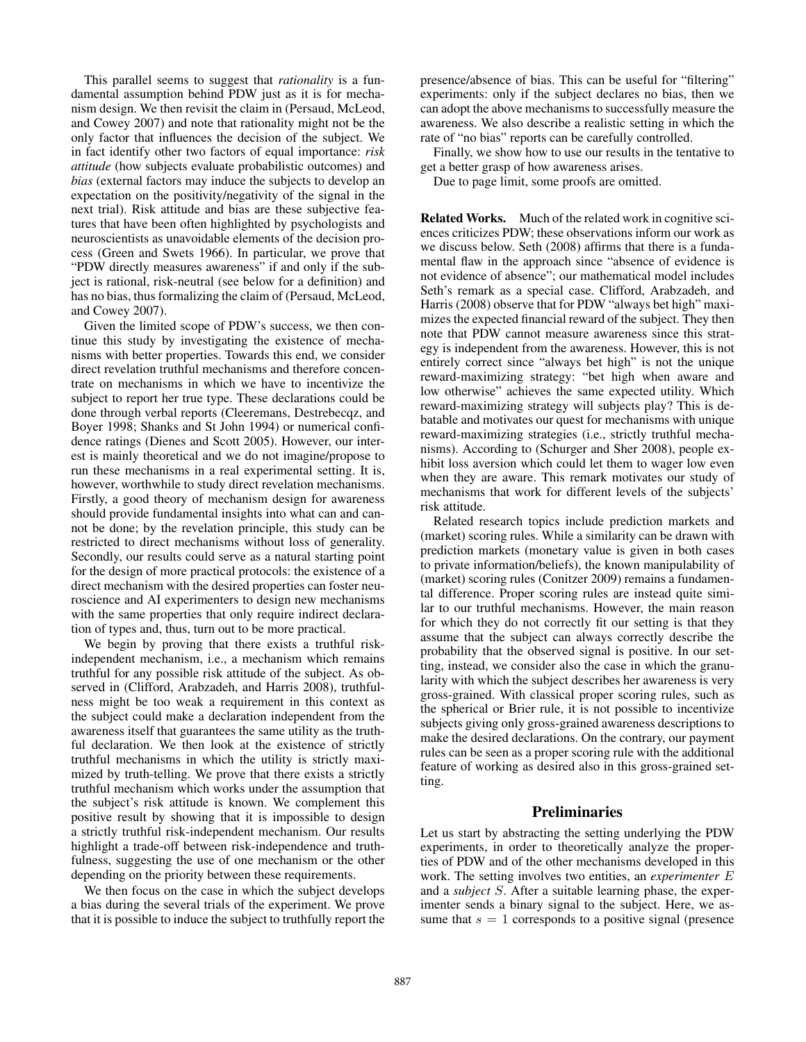This parallel seems to suggest that *rationality* is a fundamental assumption behind PDW just as it is for mechanism design. We then revisit the claim in (Persaud, McLeod, and Cowey 2007) and note that rationality might not be the only factor that influences the decision of the subject. We in fact identify other two factors of equal importance: *risk attitude* (how subjects evaluate probabilistic outcomes) and *bias* (external factors may induce the subjects to develop an expectation on the positivity/negativity of the signal in the next trial). Risk attitude and bias are these subjective features that have been often highlighted by psychologists and neuroscientists as unavoidable elements of the decision process (Green and Swets 1966). In particular, we prove that "PDW directly measures awareness" if and only if the subject is rational, risk-neutral (see below for a definition) and has no bias, thus formalizing the claim of (Persaud, McLeod, and Cowey 2007).

Given the limited scope of PDW's success, we then continue this study by investigating the existence of mechanisms with better properties. Towards this end, we consider direct revelation truthful mechanisms and therefore concentrate on mechanisms in which we have to incentivize the subject to report her true type. These declarations could be done through verbal reports (Cleeremans, Destrebecqz, and Boyer 1998; Shanks and St John 1994) or numerical confidence ratings (Dienes and Scott 2005). However, our interest is mainly theoretical and we do not imagine/propose to run these mechanisms in a real experimental setting. It is, however, worthwhile to study direct revelation mechanisms. Firstly, a good theory of mechanism design for awareness should provide fundamental insights into what can and cannot be done; by the revelation principle, this study can be restricted to direct mechanisms without loss of generality. Secondly, our results could serve as a natural starting point for the design of more practical protocols: the existence of a direct mechanism with the desired properties can foster neuroscience and AI experimenters to design new mechanisms with the same properties that only require indirect declaration of types and, thus, turn out to be more practical.

We begin by proving that there exists a truthful riskindependent mechanism, i.e., a mechanism which remains truthful for any possible risk attitude of the subject. As observed in (Clifford, Arabzadeh, and Harris 2008), truthfulness might be too weak a requirement in this context as the subject could make a declaration independent from the awareness itself that guarantees the same utility as the truthful declaration. We then look at the existence of strictly truthful mechanisms in which the utility is strictly maximized by truth-telling. We prove that there exists a strictly truthful mechanism which works under the assumption that the subject's risk attitude is known. We complement this positive result by showing that it is impossible to design a strictly truthful risk-independent mechanism. Our results highlight a trade-off between risk-independence and truthfulness, suggesting the use of one mechanism or the other depending on the priority between these requirements.

We then focus on the case in which the subject develops a bias during the several trials of the experiment. We prove that it is possible to induce the subject to truthfully report the presence/absence of bias. This can be useful for "filtering" experiments: only if the subject declares no bias, then we can adopt the above mechanisms to successfully measure the awareness. We also describe a realistic setting in which the rate of "no bias" reports can be carefully controlled.

Finally, we show how to use our results in the tentative to get a better grasp of how awareness arises.

Due to page limit, some proofs are omitted.

Related Works. Much of the related work in cognitive sciences criticizes PDW; these observations inform our work as we discuss below. Seth (2008) affirms that there is a fundamental flaw in the approach since "absence of evidence is not evidence of absence"; our mathematical model includes Seth's remark as a special case. Clifford, Arabzadeh, and Harris (2008) observe that for PDW "always bet high" maximizes the expected financial reward of the subject. They then note that PDW cannot measure awareness since this strategy is independent from the awareness. However, this is not entirely correct since "always bet high" is not the unique reward-maximizing strategy: "bet high when aware and low otherwise" achieves the same expected utility. Which reward-maximizing strategy will subjects play? This is debatable and motivates our quest for mechanisms with unique reward-maximizing strategies (i.e., strictly truthful mechanisms). According to (Schurger and Sher 2008), people exhibit loss aversion which could let them to wager low even when they are aware. This remark motivates our study of mechanisms that work for different levels of the subjects' risk attitude.

Related research topics include prediction markets and (market) scoring rules. While a similarity can be drawn with prediction markets (monetary value is given in both cases to private information/beliefs), the known manipulability of (market) scoring rules (Conitzer 2009) remains a fundamental difference. Proper scoring rules are instead quite similar to our truthful mechanisms. However, the main reason for which they do not correctly fit our setting is that they assume that the subject can always correctly describe the probability that the observed signal is positive. In our setting, instead, we consider also the case in which the granularity with which the subject describes her awareness is very gross-grained. With classical proper scoring rules, such as the spherical or Brier rule, it is not possible to incentivize subjects giving only gross-grained awareness descriptions to make the desired declarations. On the contrary, our payment rules can be seen as a proper scoring rule with the additional feature of working as desired also in this gross-grained setting.

# Preliminaries

Let us start by abstracting the setting underlying the PDW experiments, in order to theoretically analyze the properties of PDW and of the other mechanisms developed in this work. The setting involves two entities, an *experimenter* E and a *subject* S. After a suitable learning phase, the experimenter sends a binary signal to the subject. Here, we assume that  $s = 1$  corresponds to a positive signal (presence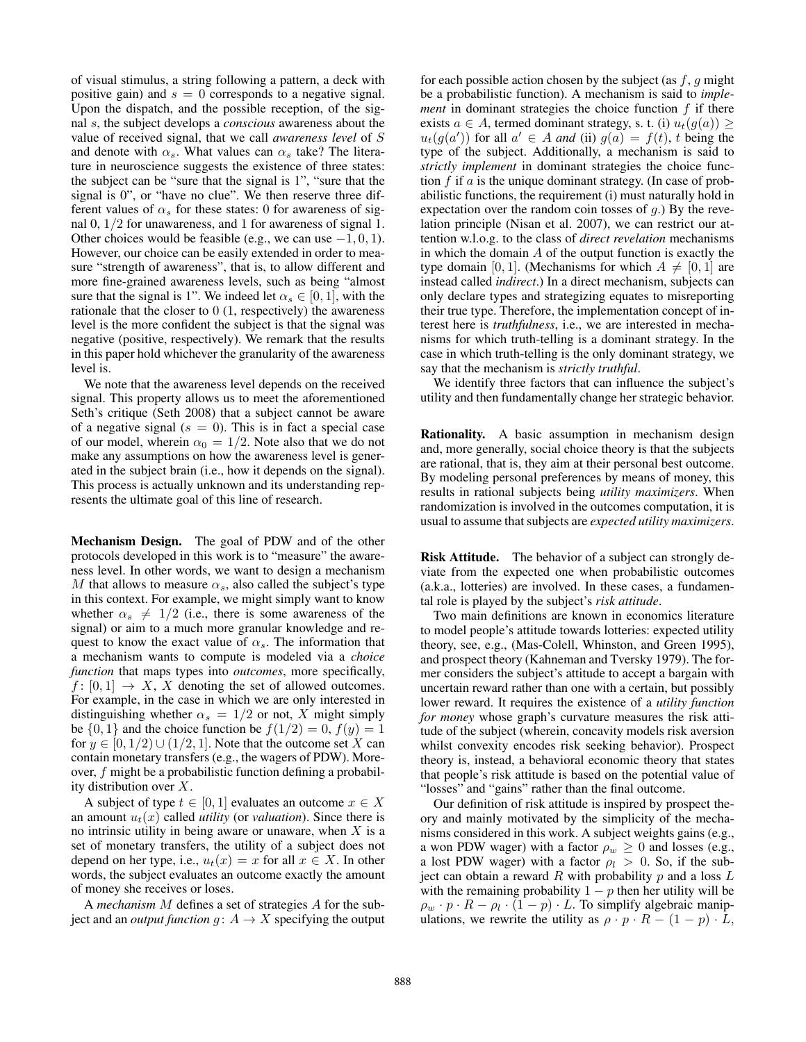of visual stimulus, a string following a pattern, a deck with positive gain) and  $s = 0$  corresponds to a negative signal. Upon the dispatch, and the possible reception, of the signal s, the subject develops a *conscious* awareness about the value of received signal, that we call *awareness level* of S and denote with  $\alpha_s$ . What values can  $\alpha_s$  take? The literature in neuroscience suggests the existence of three states: the subject can be "sure that the signal is 1", "sure that the signal is 0", or "have no clue". We then reserve three different values of  $\alpha_s$  for these states: 0 for awareness of signal 0, 1/2 for unawareness, and 1 for awareness of signal 1. Other choices would be feasible (e.g., we can use  $-1, 0, 1$ ). However, our choice can be easily extended in order to measure "strength of awareness", that is, to allow different and more fine-grained awareness levels, such as being "almost sure that the signal is 1". We indeed let  $\alpha_s \in [0, 1]$ , with the rationale that the closer to 0 (1, respectively) the awareness level is the more confident the subject is that the signal was negative (positive, respectively). We remark that the results in this paper hold whichever the granularity of the awareness level is.

We note that the awareness level depends on the received signal. This property allows us to meet the aforementioned Seth's critique (Seth 2008) that a subject cannot be aware of a negative signal ( $s = 0$ ). This is in fact a special case of our model, wherein  $\alpha_0 = 1/2$ . Note also that we do not make any assumptions on how the awareness level is generated in the subject brain (i.e., how it depends on the signal). This process is actually unknown and its understanding represents the ultimate goal of this line of research.

Mechanism Design. The goal of PDW and of the other protocols developed in this work is to "measure" the awareness level. In other words, we want to design a mechanism M that allows to measure  $\alpha_s$ , also called the subject's type in this context. For example, we might simply want to know whether  $\alpha_s \neq 1/2$  (i.e., there is some awareness of the signal) or aim to a much more granular knowledge and request to know the exact value of  $\alpha_s$ . The information that a mechanism wants to compute is modeled via a *choice function* that maps types into *outcomes*, more specifically,  $f: [0, 1] \rightarrow X$ , X denoting the set of allowed outcomes. For example, in the case in which we are only interested in distinguishing whether  $\alpha_s = 1/2$  or not, X might simply be  $\{0, 1\}$  and the choice function be  $f(1/2) = 0$ ,  $f(y) = 1$ for  $y \in [0, 1/2) \cup (1/2, 1]$ . Note that the outcome set X can contain monetary transfers (e.g., the wagers of PDW). Moreover, f might be a probabilistic function defining a probability distribution over X.

A subject of type  $t \in [0, 1]$  evaluates an outcome  $x \in X$ an amount  $u_t(x)$  called *utility* (or *valuation*). Since there is no intrinsic utility in being aware or unaware, when  $X$  is a set of monetary transfers, the utility of a subject does not depend on her type, i.e.,  $u_t(x) = x$  for all  $x \in X$ . In other words, the subject evaluates an outcome exactly the amount of money she receives or loses.

A *mechanism* M defines a set of strategies A for the subject and an *output function*  $g: A \rightarrow X$  specifying the output for each possible action chosen by the subject (as  $f, g$  might be a probabilistic function). A mechanism is said to *implement* in dominant strategies the choice function  $f$  if there exists  $a \in A$ , termed dominant strategy, s. t. (i)  $u_t(g(a)) \geq$  $u_t(g(a'))$  for all  $a' \in A$  *and* (ii)  $g(a) = f(t)$ , t being the type of the subject. Additionally, a mechanism is said to *strictly implement* in dominant strategies the choice function  $f$  if  $a$  is the unique dominant strategy. (In case of probabilistic functions, the requirement (i) must naturally hold in expectation over the random coin tosses of  $q$ .) By the revelation principle (Nisan et al. 2007), we can restrict our attention w.l.o.g. to the class of *direct revelation* mechanisms in which the domain  $A$  of the output function is exactly the type domain [0, 1]. (Mechanisms for which  $A \neq [0, 1]$  are instead called *indirect*.) In a direct mechanism, subjects can only declare types and strategizing equates to misreporting their true type. Therefore, the implementation concept of interest here is *truthfulness*, i.e., we are interested in mechanisms for which truth-telling is a dominant strategy. In the case in which truth-telling is the only dominant strategy, we say that the mechanism is *strictly truthful*.

We identify three factors that can influence the subject's utility and then fundamentally change her strategic behavior.

Rationality. A basic assumption in mechanism design and, more generally, social choice theory is that the subjects are rational, that is, they aim at their personal best outcome. By modeling personal preferences by means of money, this results in rational subjects being *utility maximizers*. When randomization is involved in the outcomes computation, it is usual to assume that subjects are *expected utility maximizers*.

Risk Attitude. The behavior of a subject can strongly deviate from the expected one when probabilistic outcomes (a.k.a., lotteries) are involved. In these cases, a fundamental role is played by the subject's *risk attitude*.

Two main definitions are known in economics literature to model people's attitude towards lotteries: expected utility theory, see, e.g., (Mas-Colell, Whinston, and Green 1995), and prospect theory (Kahneman and Tversky 1979). The former considers the subject's attitude to accept a bargain with uncertain reward rather than one with a certain, but possibly lower reward. It requires the existence of a *utility function for money* whose graph's curvature measures the risk attitude of the subject (wherein, concavity models risk aversion whilst convexity encodes risk seeking behavior). Prospect theory is, instead, a behavioral economic theory that states that people's risk attitude is based on the potential value of "losses" and "gains" rather than the final outcome.

Our definition of risk attitude is inspired by prospect theory and mainly motivated by the simplicity of the mechanisms considered in this work. A subject weights gains (e.g., a won PDW wager) with a factor  $\rho_w \geq 0$  and losses (e.g., a lost PDW wager) with a factor  $\rho_l > 0$ . So, if the subject can obtain a reward  $R$  with probability  $p$  and a loss  $L$ with the remaining probability  $1 - p$  then her utility will be  $\rho_w \cdot p \cdot R - \rho_l \cdot (1-p) \cdot L$ . To simplify algebraic manipulations, we rewrite the utility as  $\rho \cdot p \cdot R - (1 - p) \cdot L$ ,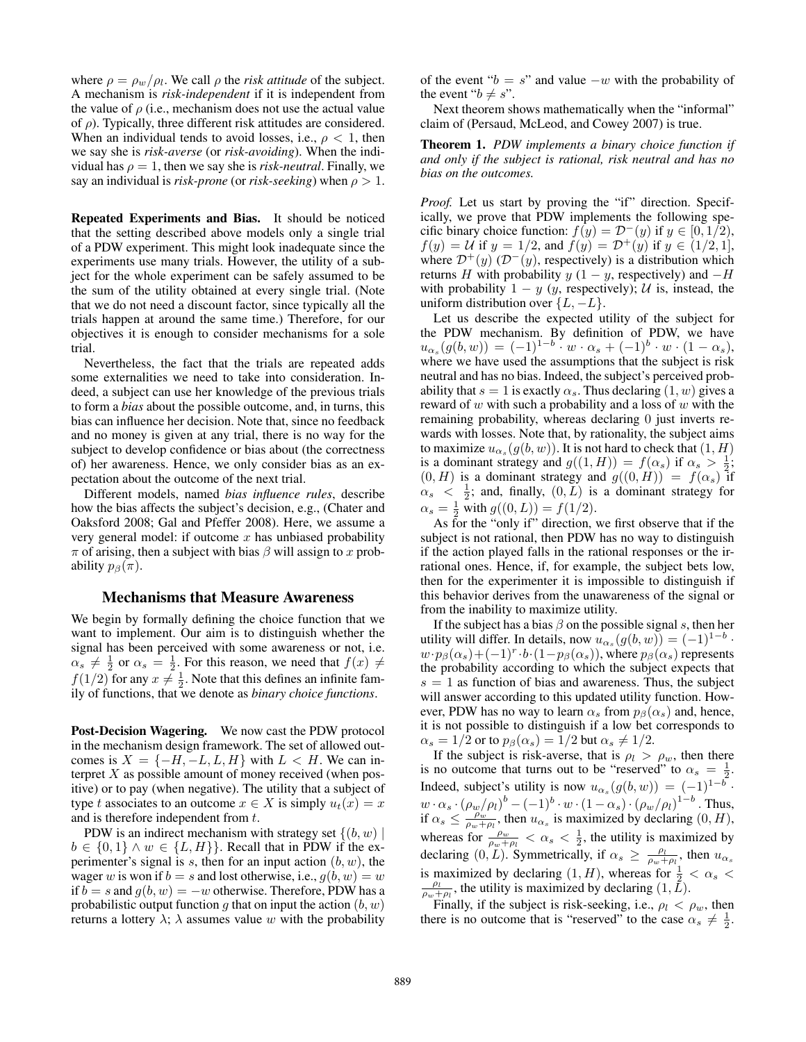where  $\rho = \rho_w / \rho_l$ . We call  $\rho$  the *risk attitude* of the subject. A mechanism is *risk-independent* if it is independent from the value of  $\rho$  (i.e., mechanism does not use the actual value of  $\rho$ ). Typically, three different risk attitudes are considered. When an individual tends to avoid losses, i.e.,  $\rho < 1$ , then we say she is *risk-averse* (or *risk-avoiding*). When the individual has  $\rho = 1$ , then we say she is *risk-neutral*. Finally, we say an individual is *risk-prone* (or *risk-seeking*) when  $\rho > 1$ .

Repeated Experiments and Bias. It should be noticed that the setting described above models only a single trial of a PDW experiment. This might look inadequate since the experiments use many trials. However, the utility of a subject for the whole experiment can be safely assumed to be the sum of the utility obtained at every single trial. (Note that we do not need a discount factor, since typically all the trials happen at around the same time.) Therefore, for our objectives it is enough to consider mechanisms for a sole trial.

Nevertheless, the fact that the trials are repeated adds some externalities we need to take into consideration. Indeed, a subject can use her knowledge of the previous trials to form a *bias* about the possible outcome, and, in turns, this bias can influence her decision. Note that, since no feedback and no money is given at any trial, there is no way for the subject to develop confidence or bias about (the correctness of) her awareness. Hence, we only consider bias as an expectation about the outcome of the next trial.

Different models, named *bias influence rules*, describe how the bias affects the subject's decision, e.g., (Chater and Oaksford 2008; Gal and Pfeffer 2008). Here, we assume a very general model: if outcome  $x$  has unbiased probability  $\pi$  of arising, then a subject with bias  $\beta$  will assign to x probability  $p_\beta(\pi)$ .

### Mechanisms that Measure Awareness

We begin by formally defining the choice function that we want to implement. Our aim is to distinguish whether the signal has been perceived with some awareness or not, i.e.  $\alpha_s \neq \frac{1}{2}$  or  $\alpha_s = \frac{1}{2}$ . For this reason, we need that  $f(x) \neq$  $f(1/2)$  for any  $x \neq \frac{1}{2}$ . Note that this defines an infinite family of functions, that we denote as *binary choice functions*.

Post-Decision Wagering. We now cast the PDW protocol in the mechanism design framework. The set of allowed outcomes is  $X = \{-H, -L, L, H\}$  with  $L < H$ . We can interpret  $X$  as possible amount of money received (when positive) or to pay (when negative). The utility that a subject of type t associates to an outcome  $x \in X$  is simply  $u_t(x) = x$ and is therefore independent from t.

PDW is an indirect mechanism with strategy set  $\{(b, w) \mid$  $b \in \{0, 1\} \wedge w \in \{L, H\}\}.$  Recall that in PDW if the experimenter's signal is  $s$ , then for an input action  $(b, w)$ , the wager w is won if  $b = s$  and lost otherwise, i.e.,  $g(b, w) = w$ if  $b = s$  and  $g(b, w) = -w$  otherwise. Therefore, PDW has a probabilistic output function g that on input the action  $(b, w)$ returns a lottery  $\lambda$ ;  $\lambda$  assumes value w with the probability of the event " $b = s$ " and value  $-w$  with the probability of the event " $b \neq s$ ".

Next theorem shows mathematically when the "informal" claim of (Persaud, McLeod, and Cowey 2007) is true.

Theorem 1. *PDW implements a binary choice function if and only if the subject is rational, risk neutral and has no bias on the outcomes.*

*Proof.* Let us start by proving the "if" direction. Specifically, we prove that PDW implements the following specific binary choice function:  $f(y) = \mathcal{D}^-(y)$  if  $y \in [0, 1/2)$ ,  $f(y) = U$  if  $y = 1/2$ , and  $f(y) = D^{+}(y)$  if  $y \in (1/2, 1]$ , where  $\mathcal{D}^+(y)$  ( $\mathcal{D}^-(y)$ , respectively) is a distribution which returns H with probability y  $(1 - y)$ , respectively) and  $-H$ with probability  $1 - y$  (y, respectively); U is, instead, the uniform distribution over  $\{L, -L\}$ .

Let us describe the expected utility of the subject for the PDW mechanism. By definition of PDW, we have  $u_{\alpha_s}(g(b, w)) = (-1)^{1-b} \cdot w \cdot \alpha_s + (-1)^b \cdot w \cdot (1 - \alpha_s),$ where we have used the assumptions that the subject is risk neutral and has no bias. Indeed, the subject's perceived probability that  $s = 1$  is exactly  $\alpha_s$ . Thus declaring  $(1, w)$  gives a reward of  $w$  with such a probability and a loss of  $w$  with the remaining probability, whereas declaring 0 just inverts rewards with losses. Note that, by rationality, the subject aims to maximize  $u_{\alpha_s}(g(b,w))$ . It is not hard to check that  $(1,H)$ is a dominant strategy and  $g((1, H)) = f(\alpha_s)$  if  $\alpha_s > \frac{1}{2}$ ;  $(0, H)$  is a dominant strategy and  $g((0, H)) = f(\alpha_s)$  if  $\alpha_s < \frac{1}{2}$ ; and, finally,  $(0, \overline{L})$  is a dominant strategy for  $\alpha_s = \frac{1}{2}$  with  $g((0, L)) = f(1/2)$ .

As for the "only if" direction, we first observe that if the subject is not rational, then PDW has no way to distinguish if the action played falls in the rational responses or the irrational ones. Hence, if, for example, the subject bets low, then for the experimenter it is impossible to distinguish if this behavior derives from the unawareness of the signal or from the inability to maximize utility.

If the subject has a bias  $\beta$  on the possible signal s, then her utility will differ. In details, now  $u_{\alpha_s}(g(b, w)) = (-1)^{1-b}$ .  $w \cdot p_{\beta}(\alpha_s) + (-1)^r \cdot b \cdot (1-p_{\beta}(\alpha_s))$ , where  $p_{\beta}(\alpha_s)$  represents the probability according to which the subject expects that  $s = 1$  as function of bias and awareness. Thus, the subject will answer according to this updated utility function. However, PDW has no way to learn  $\alpha_s$  from  $p_\beta(\alpha_s)$  and, hence, it is not possible to distinguish if a low bet corresponds to  $\alpha_s = 1/2$  or to  $p_\beta(\alpha_s) = 1/2$  but  $\alpha_s \neq 1/2$ .

If the subject is risk-averse, that is  $\rho_l > \rho_w$ , then there is no outcome that turns out to be "reserved" to  $\alpha_s = \frac{1}{2}$ . Indeed, subject's utility is now  $u_{\alpha_s}(g(b, w)) = (-1)^{1-b}$ .  $w\cdot\alpha_s\cdot\left(\rho_w/\rho_l\right)^b-(-1)^b\cdot w\cdot\left(1-\alpha_s\right)\cdot\left(\rho_w/\rho_l\right)^{1-b}$  . Thus, if  $\alpha_s \le \frac{\rho_w}{\rho_w + \rho_l}$ , then  $u_{\alpha_s}$  is maximized by declaring  $(0, H)$ , whereas for  $\frac{\rho_w}{\rho_w + \rho_l} < \alpha_s < \frac{1}{2}$ , the utility is maximized by declaring  $(0, \tilde{L})$ . Symmetrically, if  $\alpha_s \ge \frac{\rho_l}{\rho_w + \rho_l}$ , then  $u_{\alpha_s}$ is maximized by declaring  $(1, H)$ , whereas for  $\frac{1}{2} < \alpha_s < \frac{\rho_l}{\rho_w + \rho_l}$ , the utility is maximized by declaring  $(1, L)$ .

Finally, if the subject is risk-seeking, i.e.,  $\rho_l < \rho_w$ , then there is no outcome that is "reserved" to the case  $\alpha_s \neq \frac{1}{2}$ .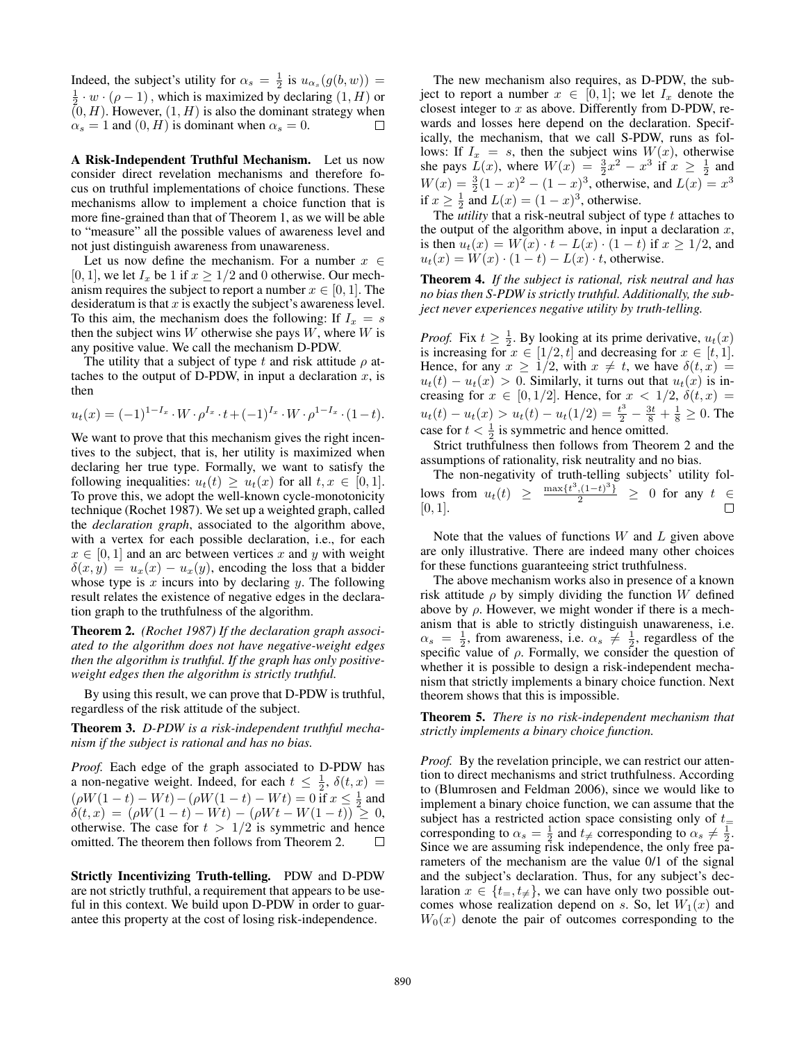Indeed, the subject's utility for  $\alpha_s = \frac{1}{2}$  is  $u_{\alpha_s}(g(b, w)) =$  $\frac{1}{2} \cdot w \cdot (\rho - 1)$ , which is maximized by declaring  $(1, H)$  or  $(0, H)$ . However,  $(1, H)$  is also the dominant strategy when  $\alpha_s = 1$  and  $(0, H)$  is dominant when  $\alpha_s = 0$ . П

A Risk-Independent Truthful Mechanism. Let us now consider direct revelation mechanisms and therefore focus on truthful implementations of choice functions. These mechanisms allow to implement a choice function that is more fine-grained than that of Theorem 1, as we will be able to "measure" all the possible values of awareness level and not just distinguish awareness from unawareness.

Let us now define the mechanism. For a number  $x \in$ [0, 1], we let  $I_x$  be 1 if  $x \ge 1/2$  and 0 otherwise. Our mechanism requires the subject to report a number  $x \in [0, 1]$ . The desideratum is that  $x$  is exactly the subject's awareness level. To this aim, the mechanism does the following: If  $I_x = s$ then the subject wins  $W$  otherwise she pays  $W$ , where  $W$  is any positive value. We call the mechanism D-PDW.

The utility that a subject of type t and risk attitude  $\rho$  attaches to the output of D-PDW, in input a declaration  $x$ , is then

$$
u_t(x) = (-1)^{1-I_x} \cdot W \cdot \rho^{I_x} \cdot t + (-1)^{I_x} \cdot W \cdot \rho^{1-I_x} \cdot (1-t).
$$

We want to prove that this mechanism gives the right incentives to the subject, that is, her utility is maximized when declaring her true type. Formally, we want to satisfy the following inequalities:  $u_t(t) \geq u_t(x)$  for all  $t, x \in [0, 1]$ . To prove this, we adopt the well-known cycle-monotonicity technique (Rochet 1987). We set up a weighted graph, called the *declaration graph*, associated to the algorithm above, with a vertex for each possible declaration, i.e., for each  $x \in [0, 1]$  and an arc between vertices x and y with weight  $\delta(x, y) = u_x(x) - u_x(y)$ , encoding the loss that a bidder whose type is x incurs into by declaring y. The following result relates the existence of negative edges in the declaration graph to the truthfulness of the algorithm.

Theorem 2. *(Rochet 1987) If the declaration graph associated to the algorithm does not have negative-weight edges then the algorithm is truthful. If the graph has only positiveweight edges then the algorithm is strictly truthful.*

By using this result, we can prove that D-PDW is truthful, regardless of the risk attitude of the subject.

Theorem 3. *D-PDW is a risk-independent truthful mechanism if the subject is rational and has no bias.*

*Proof.* Each edge of the graph associated to D-PDW has a non-negative weight. Indeed, for each  $t \leq \frac{1}{2}$ ,  $\delta(t, x) =$  $(\rho W(1-t) - Wt) - (\rho W(1-t) - Wt) = 0$  if  $x \le \frac{1}{2}$  and  $\delta(t, x) = (\rho W(1 - t) - Wt) - (\rho Wt - W(1 - t)) \geq 0,$ otherwise. The case for  $t > 1/2$  is symmetric and hence omitted. The theorem then follows from Theorem 2.  $\Box$ 

Strictly Incentivizing Truth-telling. PDW and D-PDW are not strictly truthful, a requirement that appears to be useful in this context. We build upon D-PDW in order to guarantee this property at the cost of losing risk-independence.

The new mechanism also requires, as D-PDW, the subject to report a number  $x \in [0,1]$ ; we let  $I_x$  denote the closest integer to  $x$  as above. Differently from D-PDW, rewards and losses here depend on the declaration. Specifically, the mechanism, that we call S-PDW, runs as follows: If  $I_x = s$ , then the subject wins  $W(x)$ , otherwise she pays  $\bar{L}(x)$ , where  $W(x) = \frac{3}{2}x^2 - x^3$  if  $x \ge \frac{1}{2}$  and  $W(x) = \frac{3}{2}(1-x)^2 - (1-x)^3$ , otherwise, and  $L(x) = x^3$ if  $x \ge \frac{1}{2}$  and  $L(x) = (1 - x)^3$ , otherwise.

The *utility* that a risk-neutral subject of type t attaches to the output of the algorithm above, in input a declaration  $x$ , is then  $u_t(x) = W(x) \cdot t - L(x) \cdot (1 - t)$  if  $x \ge 1/2$ , and  $u_t(x) = W(x) \cdot (1 - t) - L(x) \cdot t$ , otherwise.

Theorem 4. *If the subject is rational, risk neutral and has no bias then S-PDW is strictly truthful. Additionally, the subject never experiences negative utility by truth-telling.*

*Proof.* Fix  $t \geq \frac{1}{2}$ . By looking at its prime derivative,  $u_t(x)$ is increasing for  $x \in [1/2, t]$  and decreasing for  $x \in [t, 1]$ . Hence, for any  $x \geq 1/2$ , with  $x \neq t$ , we have  $\delta(t, x) =$  $u_t(t) - u_t(x) > 0$ . Similarly, it turns out that  $u_t(x)$  is increasing for  $x \in [0, 1/2]$ . Hence, for  $x < 1/2$ ,  $\delta(t, x) =$  $u_t(t) - u_t(x) > u_t(t) - u_t(1/2) = \frac{t^3}{2} - \frac{3t}{8} + \frac{1}{8} \ge 0$ . The case for  $t < \frac{1}{2}$  is symmetric and hence omitted.

Strict truthfulness then follows from Theorem 2 and the assumptions of rationality, risk neutrality and no bias.

The non-negativity of truth-telling subjects' utility follows from  $u_t(t) \geq \frac{\max\{t^3,(1-t)^3\}}{2} \geq 0$  for any  $t \in$ [0, 1].

Note that the values of functions  $W$  and  $L$  given above are only illustrative. There are indeed many other choices for these functions guaranteeing strict truthfulness.

The above mechanism works also in presence of a known risk attitude  $\rho$  by simply dividing the function W defined above by  $\rho$ . However, we might wonder if there is a mechanism that is able to strictly distinguish unawareness, i.e.  $\alpha_s = \frac{1}{2}$ , from awareness, i.e.  $\alpha_s \neq \frac{1}{2}$ , regardless of the specific value of  $\rho$ . Formally, we consider the question of whether it is possible to design a risk-independent mechanism that strictly implements a binary choice function. Next theorem shows that this is impossible.

Theorem 5. *There is no risk-independent mechanism that strictly implements a binary choice function.*

*Proof.* By the revelation principle, we can restrict our attention to direct mechanisms and strict truthfulness. According to (Blumrosen and Feldman 2006), since we would like to implement a binary choice function, we can assume that the subject has a restricted action space consisting only of  $t_{=}$ corresponding to  $\alpha_s = \frac{1}{2}$  and  $t \neq$  corresponding to  $\alpha_s \neq \frac{1}{2}$ . Since we are assuming risk independence, the only free parameters of the mechanism are the value 0/1 of the signal and the subject's declaration. Thus, for any subject's declaration  $x \in \{t_{\pm}, t_{\neq}\}\$ , we can have only two possible outcomes whose realization depend on s. So, let  $W_1(x)$  and  $W_0(x)$  denote the pair of outcomes corresponding to the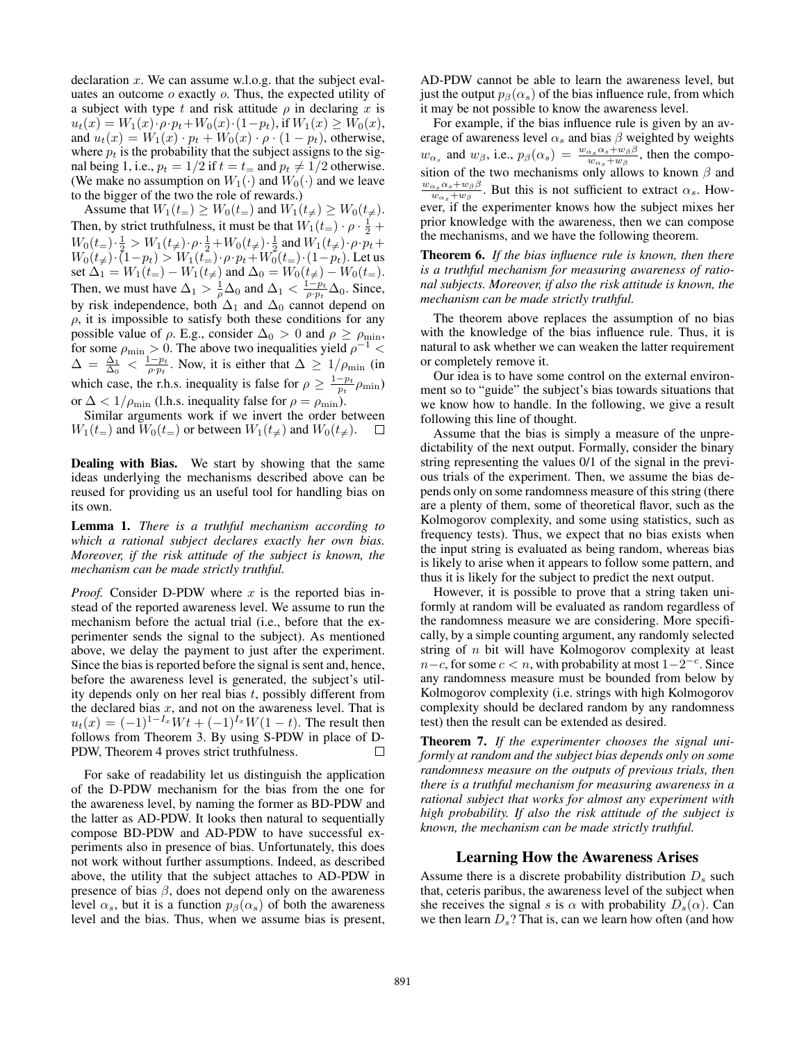declaration  $x$ . We can assume w.l.o.g. that the subject evaluates an outcome  $o$  exactly  $o$ . Thus, the expected utility of a subject with type t and risk attitude  $\rho$  in declaring x is  $u_t(x) = W_1(x) \cdot \rho \cdot p_t + W_0(x) \cdot (1 - p_t)$ , if  $W_1(x) \geq W_0(x)$ , and  $u_t(x) = W_1(x) \cdot p_t + W_0(x) \cdot \rho \cdot (1 - p_t)$ , otherwise, where  $p_t$  is the probability that the subject assigns to the signal being 1, i.e.,  $p_t = 1/2$  if  $t = t_$  and  $p_t \neq 1/2$  otherwise. (We make no assumption on  $W_1(\cdot)$  and  $W_0(\cdot)$  and we leave to the bigger of the two the role of rewards.)

Assume that  $W_1(t_{=}) \geq W_0(t_{=})$  and  $W_1(t_{\neq}) \geq W_0(t_{\neq}).$ Then, by strict truthfulness, it must be that  $W_1(t_+) \cdot \rho \cdot \frac{1}{2}$  +  $W_0(t_+) \cdot \frac{1}{2} > W_1(t_+) \cdot \rho \cdot \frac{1}{2} + W_0(t_+) \cdot \frac{1}{2}$  and  $W_1(t_+) \cdot \rho \cdot p_t +$  $W_0(t_+) \cdot (1-p_t) > W_1(t_-) \cdot \rho \cdot p_t + W_0(t_-) \cdot (1-p_t)$ . Let us set  $\Delta_1 = W_1(t_+) - W_1(t_+)$  and  $\Delta_0 = W_0(t_+) - W_0(t_-)$ . Then, we must have  $\Delta_1 > \frac{1}{\rho} \Delta_0$  and  $\Delta_1 < \frac{1-p_t}{\rho \cdot p_t} \Delta_0$ . Since, by risk independence, both  $\Delta_1$  and  $\Delta_0$  cannot depend on  $\rho$ , it is impossible to satisfy both these conditions for any possible value of  $\rho$ . E.g., consider  $\Delta_0 > 0$  and  $\rho \ge \rho_{\min}$ , for some  $\rho_{\min} > 0$ . The above two inequalities yield  $\rho^{-1} <$  $\Delta = \frac{\Delta_1}{\Delta_0} < \frac{1-p_t}{\rho \cdot p_t}$ . Now, it is either that  $\Delta \geq 1/\rho_{\min}$  (in which case, the r.h.s. inequality is false for  $\rho \geq \frac{1-p_t}{p_t} \rho_{\min}$ ) or  $\Delta < 1/\rho_{\min}$  (l.h.s. inequality false for  $\rho = \rho_{\min}$ ).

Similar arguments work if we invert the order between  $W_1(t_+)$  and  $W_0(t_-)$  or between  $W_1(t_+)$  and  $W_0(t_+)$ .

Dealing with Bias. We start by showing that the same ideas underlying the mechanisms described above can be reused for providing us an useful tool for handling bias on its own.

Lemma 1. *There is a truthful mechanism according to which a rational subject declares exactly her own bias. Moreover, if the risk attitude of the subject is known, the mechanism can be made strictly truthful.*

*Proof.* Consider D-PDW where  $x$  is the reported bias instead of the reported awareness level. We assume to run the mechanism before the actual trial (i.e., before that the experimenter sends the signal to the subject). As mentioned above, we delay the payment to just after the experiment. Since the bias is reported before the signal is sent and, hence, before the awareness level is generated, the subject's utility depends only on her real bias  $t$ , possibly different from the declared bias  $x$ , and not on the awareness level. That is  $u_t(x) = (-1)^{1-I_x} Wt + (-1)^{I_x} W(1-t)$ . The result then follows from Theorem 3. By using S-PDW in place of D-PDW, Theorem 4 proves strict truthfulness. П

For sake of readability let us distinguish the application of the D-PDW mechanism for the bias from the one for the awareness level, by naming the former as BD-PDW and the latter as AD-PDW. It looks then natural to sequentially compose BD-PDW and AD-PDW to have successful experiments also in presence of bias. Unfortunately, this does not work without further assumptions. Indeed, as described above, the utility that the subject attaches to AD-PDW in presence of bias  $\beta$ , does not depend only on the awareness level  $\alpha_s$ , but it is a function  $p_\beta(\alpha_s)$  of both the awareness level and the bias. Thus, when we assume bias is present,

AD-PDW cannot be able to learn the awareness level, but just the output  $p_\beta(\alpha_s)$  of the bias influence rule, from which it may be not possible to know the awareness level.

For example, if the bias influence rule is given by an average of awareness level  $\alpha_s$  and bias  $\beta$  weighted by weights  $w_{\alpha_s}$  and  $w_{\beta}$ , i.e.,  $p_{\beta}(\alpha_s) = \frac{w_{\alpha_s} \alpha_s + w_{\beta} \beta}{w_{\alpha_s} + w_{\beta}}$ , then the composition of the two mechanisms only allows to known  $\beta$  and  $w_{\alpha_s} \alpha_s + w_{\beta} \beta$  $\frac{\alpha_s \alpha_s + w_\beta \beta}{w_{\alpha_s} + w_\beta}$ . But this is not sufficient to extract  $\alpha_s$ . However, if the experimenter knows how the subject mixes her prior knowledge with the awareness, then we can compose the mechanisms, and we have the following theorem.

Theorem 6. *If the bias influence rule is known, then there is a truthful mechanism for measuring awareness of rational subjects. Moreover, if also the risk attitude is known, the mechanism can be made strictly truthful.*

The theorem above replaces the assumption of no bias with the knowledge of the bias influence rule. Thus, it is natural to ask whether we can weaken the latter requirement or completely remove it.

Our idea is to have some control on the external environment so to "guide" the subject's bias towards situations that we know how to handle. In the following, we give a result following this line of thought.

Assume that the bias is simply a measure of the unpredictability of the next output. Formally, consider the binary string representing the values 0/1 of the signal in the previous trials of the experiment. Then, we assume the bias depends only on some randomness measure of this string (there are a plenty of them, some of theoretical flavor, such as the Kolmogorov complexity, and some using statistics, such as frequency tests). Thus, we expect that no bias exists when the input string is evaluated as being random, whereas bias is likely to arise when it appears to follow some pattern, and thus it is likely for the subject to predict the next output.

However, it is possible to prove that a string taken uniformly at random will be evaluated as random regardless of the randomness measure we are considering. More specifically, by a simple counting argument, any randomly selected string of n bit will have Kolmogorov complexity at least  $n-c$ , for some  $c < n$ , with probability at most  $1-2^{-c}$ . Since any randomness measure must be bounded from below by Kolmogorov complexity (i.e. strings with high Kolmogorov complexity should be declared random by any randomness test) then the result can be extended as desired.

Theorem 7. *If the experimenter chooses the signal uniformly at random and the subject bias depends only on some randomness measure on the outputs of previous trials, then there is a truthful mechanism for measuring awareness in a rational subject that works for almost any experiment with high probability. If also the risk attitude of the subject is known, the mechanism can be made strictly truthful.*

# Learning How the Awareness Arises

Assume there is a discrete probability distribution  $D<sub>s</sub>$  such that, ceteris paribus, the awareness level of the subject when she receives the signal s is  $\alpha$  with probability  $D_s(\alpha)$ . Can we then learn  $D_s$ ? That is, can we learn how often (and how